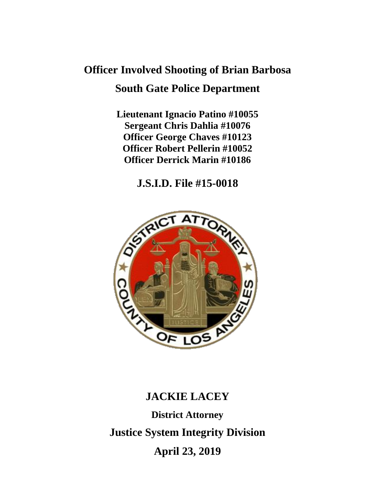# **Officer Involved Shooting of Brian Barbosa South Gate Police Department**

**Lieutenant Ignacio Patino #10055 Sergeant Chris Dahlia #10076 Officer George Chaves #10123 Officer Robert Pellerin #10052 Officer Derrick Marin #10186**

**J.S.I.D. File #15-0018**



# **JACKIE LACEY**

**District Attorney Justice System Integrity Division April 23, 2019**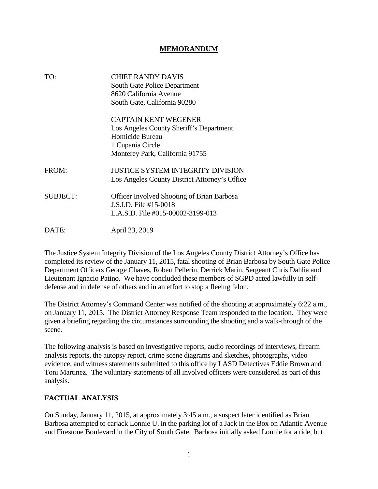#### **MEMORANDUM**

| TO:             | <b>CHIEF RANDY DAVIS</b><br><b>South Gate Police Department</b><br>8620 California Avenue<br>South Gate, California 90280                        |
|-----------------|--------------------------------------------------------------------------------------------------------------------------------------------------|
|                 | <b>CAPTAIN KENT WEGENER</b><br>Los Angeles County Sheriff's Department<br>Homicide Bureau<br>1 Cupania Circle<br>Monterey Park, California 91755 |
| FROM:           | <b>JUSTICE SYSTEM INTEGRITY DIVISION</b><br>Los Angeles County District Attorney's Office                                                        |
| <b>SUBJECT:</b> | <b>Officer Involved Shooting of Brian Barbosa</b><br>J.S.I.D. File #15-0018<br>L.A.S.D. File #015-00002-3199-013                                 |
| DATE:           | April 23, 2019                                                                                                                                   |

The Justice System Integrity Division of the Los Angeles County District Attorney's Office has completed its review of the January 11, 2015, fatal shooting of Brian Barbosa by South Gate Police Department Officers George Chaves, Robert Pellerin, Derrick Marin, Sergeant Chris Dahlia and Lieutenant Ignacio Patino. We have concluded these members of SGPD acted lawfully in selfdefense and in defense of others and in an effort to stop a fleeing felon.

The District Attorney's Command Center was notified of the shooting at approximately 6:22 a.m., on January 11, 2015. The District Attorney Response Team responded to the location. They were given a briefing regarding the circumstances surrounding the shooting and a walk-through of the scene.

The following analysis is based on investigative reports, audio recordings of interviews, firearm analysis reports, the autopsy report, crime scene diagrams and sketches, photographs, video evidence, and witness statements submitted to this office by LASD Detectives Eddie Brown and Toni Martinez. The voluntary statements of all involved officers were considered as part of this analysis.

#### **FACTUAL ANALYSIS**

On Sunday, January 11, 2015, at approximately 3:45 a.m., a suspect later identified as Brian Barbosa attempted to carjack Lonnie U. in the parking lot of a Jack in the Box on Atlantic Avenue and Firestone Boulevard in the City of South Gate. Barbosa initially asked Lonnie for a ride, but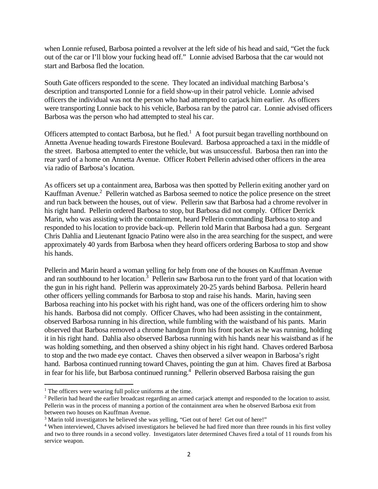when Lonnie refused, Barbosa pointed a revolver at the left side of his head and said, "Get the fuck out of the car or I'll blow your fucking head off." Lonnie advised Barbosa that the car would not start and Barbosa fled the location.

South Gate officers responded to the scene. They located an individual matching Barbosa's description and transported Lonnie for a field show-up in their patrol vehicle. Lonnie advised officers the individual was not the person who had attempted to carjack him earlier. As officers were transporting Lonnie back to his vehicle, Barbosa ran by the patrol car. Lonnie advised officers Barbosa was the person who had attempted to steal his car.

Officers attempted to contact Barbosa, but he fled.<sup>1</sup> A foot pursuit began travelling northbound on Annetta Avenue heading towards Firestone Boulevard. Barbosa approached a taxi in the middle of the street. Barbosa attempted to enter the vehicle, but was unsuccessful. Barbosa then ran into the rear yard of a home on Annetta Avenue. Officer Robert Pellerin advised other officers in the area via radio of Barbosa's location.

As officers set up a containment area, Barbosa was then spotted by Pellerin exiting another yard on Kauffman Avenue.<sup>2</sup> Pellerin watched as Barbosa seemed to notice the police presence on the street and run back between the houses, out of view. Pellerin saw that Barbosa had a chrome revolver in his right hand. Pellerin ordered Barbosa to stop, but Barbosa did not comply. Officer Derrick Marin, who was assisting with the containment, heard Pellerin commanding Barbosa to stop and responded to his location to provide back-up. Pellerin told Marin that Barbosa had a gun. Sergeant Chris Dahlia and Lieutenant Ignacio Patino were also in the area searching for the suspect, and were approximately 40 yards from Barbosa when they heard officers ordering Barbosa to stop and show his hands.

Pellerin and Marin heard a woman yelling for help from one of the houses on Kauffman Avenue and ran southbound to her location.<sup>3</sup> Pellerin saw Barbosa run to the front yard of that location with the gun in his right hand. Pellerin was approximately 20-25 yards behind Barbosa. Pellerin heard other officers yelling commands for Barbosa to stop and raise his hands. Marin, having seen Barbosa reaching into his pocket with his right hand, was one of the officers ordering him to show his hands. Barbosa did not comply. Officer Chaves, who had been assisting in the containment, observed Barbosa running in his direction, while fumbling with the waistband of his pants. Marin observed that Barbosa removed a chrome handgun from his front pocket as he was running, holding it in his right hand. Dahlia also observed Barbosa running with his hands near his waistband as if he was holding something, and then observed a shiny object in his right hand. Chaves ordered Barbosa to stop and the two made eye contact. Chaves then observed a silver weapon in Barbosa's right hand. Barbosa continued running toward Chaves, pointing the gun at him. Chaves fired at Barbosa in fear for his life, but Barbosa continued running.<sup>4</sup> Pellerin observed Barbosa raising the gun

 $<sup>1</sup>$  The officers were wearing full police uniforms at the time.</sup>

<sup>&</sup>lt;sup>2</sup> Pellerin had heard the earlier broadcast regarding an armed carjack attempt and responded to the location to assist. Pellerin was in the process of manning a portion of the containment area when he observed Barbosa exit from between two houses on Kauffman Avenue.

<sup>&</sup>lt;sup>3</sup> Marin told investigators he believed she was yelling, "Get out of here! Get out of here!"

<sup>&</sup>lt;sup>4</sup> When interviewed, Chaves advised investigators he believed he had fired more than three rounds in his first volley and two to three rounds in a second volley. Investigators later determined Chaves fired a total of 11 rounds from his service weapon.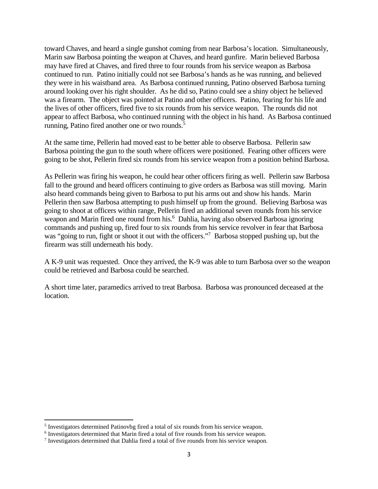toward Chaves, and heard a single gunshot coming from near Barbosa's location. Simultaneously, Marin saw Barbosa pointing the weapon at Chaves, and heard gunfire. Marin believed Barbosa may have fired at Chaves, and fired three to four rounds from his service weapon as Barbosa continued to run. Patino initially could not see Barbosa's hands as he was running, and believed they were in his waistband area. As Barbosa continued running, Patino observed Barbosa turning around looking over his right shoulder. As he did so, Patino could see a shiny object he believed was a firearm. The object was pointed at Patino and other officers. Patino, fearing for his life and the lives of other officers, fired five to six rounds from his service weapon. The rounds did not appear to affect Barbosa, who continued running with the object in his hand. As Barbosa continued running, Patino fired another one or two rounds.<sup>5</sup>

At the same time, Pellerin had moved east to be better able to observe Barbosa. Pellerin saw Barbosa pointing the gun to the south where officers were positioned. Fearing other officers were going to be shot, Pellerin fired six rounds from his service weapon from a position behind Barbosa.

As Pellerin was firing his weapon, he could hear other officers firing as well. Pellerin saw Barbosa fall to the ground and heard officers continuing to give orders as Barbosa was still moving. Marin also heard commands being given to Barbosa to put his arms out and show his hands. Marin Pellerin then saw Barbosa attempting to push himself up from the ground. Believing Barbosa was going to shoot at officers within range, Pellerin fired an additional seven rounds from his service weapon and Marin fired one round from his.<sup>6</sup> Dahlia, having also observed Barbosa ignoring commands and pushing up, fired four to six rounds from his service revolver in fear that Barbosa was "going to run, fight or shoot it out with the officers."<sup>7</sup> Barbosa stopped pushing up, but the firearm was still underneath his body.

A K-9 unit was requested. Once they arrived, the K-9 was able to turn Barbosa over so the weapon could be retrieved and Barbosa could be searched.

A short time later, paramedics arrived to treat Barbosa. Barbosa was pronounced deceased at the location.

<sup>&</sup>lt;sup>5</sup> Investigators determined Patinovbg fired a total of six rounds from his service weapon.

<sup>&</sup>lt;sup>6</sup> Investigators determined that Marin fired a total of five rounds from his service weapon.

<sup>&</sup>lt;sup>7</sup> Investigators determined that Dahlia fired a total of five rounds from his service weapon.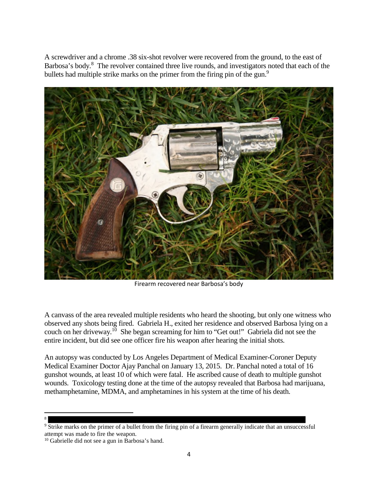A screwdriver and a chrome .38 six-shot revolver were recovered from the ground, to the east of Barbosa's body.<sup>8</sup> The revolver contained three live rounds, and investigators noted that each of the bullets had multiple strike marks on the primer from the firing pin of the gun.<sup>9</sup>



Firearm recovered near Barbosa's body

A canvass of the area revealed multiple residents who heard the shooting, but only one witness who observed any shots being fired. Gabriela H., exited her residence and observed Barbosa lying on a couch on her driveway.<sup>10</sup> She began screaming for him to "Get out!" Gabriela did not see the entire incident, but did see one officer fire his weapon after hearing the initial shots.

An autopsy was conducted by Los Angeles Department of Medical Examiner-Coroner Deputy Medical Examiner Doctor Ajay Panchal on January 13, 2015. Dr. Panchal noted a total of 16 gunshot wounds, at least 10 of which were fatal. He ascribed cause of death to multiple gunshot wounds. Toxicology testing done at the time of the autopsy revealed that Barbosa had marijuana, methamphetamine, MDMA, and amphetamines in his system at the time of his death.

<sup>8</sup>

<sup>&</sup>lt;sup>9</sup> Strike marks on the primer of a bullet from the firing pin of a firearm generally indicate that an unsuccessful attempt was made to fire the weapon.

<sup>&</sup>lt;sup>10</sup> Gabrielle did not see a gun in Barbosa's hand.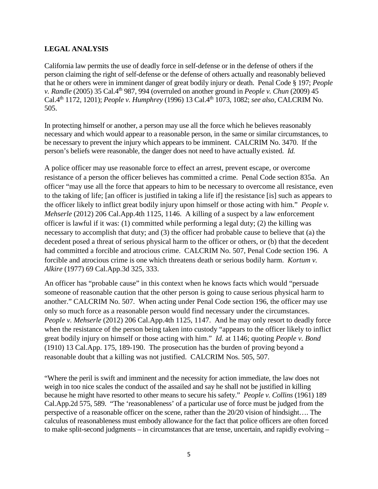## **LEGAL ANALYSIS**

California law permits the use of deadly force in self-defense or in the defense of others if the person claiming the right of self-defense or the defense of others actually and reasonably believed that he or others were in imminent danger of great bodily injury or death. Penal Code § 197; *People v. Randle* (2005) 35 Cal.4th 987, 994 (overruled on another ground in *People v. Chun* (2009) 45 Cal.4th 1172, 1201); *People v. Humphrey* (1996) 13 Cal.4th 1073, 1082; *see also,* CALCRIM No. 505.

In protecting himself or another, a person may use all the force which he believes reasonably necessary and which would appear to a reasonable person, in the same or similar circumstances, to be necessary to prevent the injury which appears to be imminent. CALCRIM No. 3470. If the person's beliefs were reasonable, the danger does not need to have actually existed. *Id.*

A police officer may use reasonable force to effect an arrest, prevent escape, or overcome resistance of a person the officer believes has committed a crime. Penal Code section 835a. An officer "may use all the force that appears to him to be necessary to overcome all resistance, even to the taking of life; [an officer is justified in taking a life if] the resistance [is] such as appears to the officer likely to inflict great bodily injury upon himself or those acting with him." *People v. Mehserle* (2012) 206 Cal.App.4th 1125, 1146. A killing of a suspect by a law enforcement officer is lawful if it was: (1) committed while performing a legal duty; (2) the killing was necessary to accomplish that duty; and (3) the officer had probable cause to believe that (a) the decedent posed a threat of serious physical harm to the officer or others, or (b) that the decedent had committed a forcible and atrocious crime. CALCRIM No. 507, Penal Code section 196. A forcible and atrocious crime is one which threatens death or serious bodily harm. *Kortum v. Alkire* (1977) 69 Cal.App.3d 325, 333.

An officer has "probable cause" in this context when he knows facts which would "persuade someone of reasonable caution that the other person is going to cause serious physical harm to another." CALCRIM No. 507. When acting under Penal Code section 196, the officer may use only so much force as a reasonable person would find necessary under the circumstances. *People v. Mehserle* (2012) 206 Cal.App.4th 1125, 1147. And he may only resort to deadly force when the resistance of the person being taken into custody "appears to the officer likely to inflict great bodily injury on himself or those acting with him." *Id.* at 1146; quoting *People v. Bond* (1910) 13 Cal.App. 175, 189-190. The prosecution has the burden of proving beyond a reasonable doubt that a killing was not justified. CALCRIM Nos. 505, 507.

"Where the peril is swift and imminent and the necessity for action immediate, the law does not weigh in too nice scales the conduct of the assailed and say he shall not be justified in killing because he might have resorted to other means to secure his safety." *People v. Collins* (1961) 189 Cal.App.2d 575, 589. "The 'reasonableness' of a particular use of force must be judged from the perspective of a reasonable officer on the scene, rather than the 20/20 vision of hindsight…. The calculus of reasonableness must embody allowance for the fact that police officers are often forced to make split-second judgments – in circumstances that are tense, uncertain, and rapidly evolving –